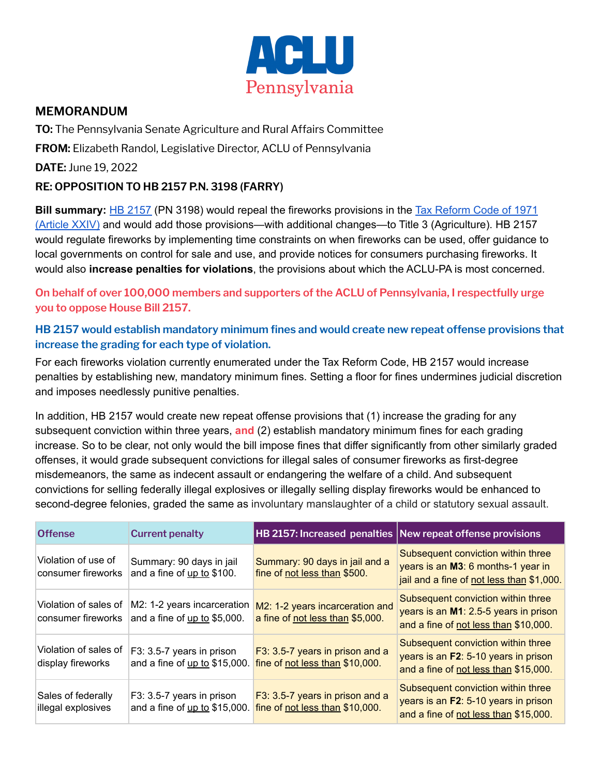

## **MEMORANDUM**

**TO:** The Pennsylvania Senate Agriculture and Rural Affairs Committee

**FROM:** Elizabeth Randol, Legislative Director, ACLU of Pennsylvania

**DATE:** June 19, 2022

## **RE: OPPOSITION TO HB 2157 P.N. 3198 (FARRY)**

**Bill summary:** HB [2157](https://www.legis.state.pa.us/cfdocs/billinfo/billinfo.cfm?syear=2021&sInd=0&body=H&type=B&bn=2157) (PN 3198) would repeal the fireworks provisions in the Tax [Reform](https://www.legis.state.pa.us/WU01/LI/LI/US/PDF/1971/0/0002..PDF#page=527) Code of 1971 [\(Article](https://www.legis.state.pa.us/WU01/LI/LI/US/PDF/1971/0/0002..PDF#page=527) XXIV) and would add those provisions—with additional changes—to Title 3 (Agriculture). HB 2157 would regulate fireworks by implementing time constraints on when fireworks can be used, offer guidance to local governments on control for sale and use, and provide notices for consumers purchasing fireworks. It would also **increase penalties for violations**, the provisions about which the ACLU-PA is most concerned.

**On behalf of over 100,000 members and supporters of the ACLU of Pennsylvania, I respectfully urge you to oppose House Bill 2157.**

## **HB 2157 would establish mandatory minimum fines and would create new repeat offense provisions that increase the grading for each type of violation.**

For each fireworks violation currently enumerated under the Tax Reform Code, HB 2157 would increase penalties by establishing new, mandatory minimum fines. Setting a floor for fines undermines judicial discretion and imposes needlessly punitive penalties.

In addition, HB 2157 would create new repeat offense provisions that (1) increase the grading for any subsequent conviction within three years, **and** (2) establish mandatory minimum fines for each grading increase. So to be clear, not only would the bill impose fines that differ significantly from other similarly graded offenses, it would grade subsequent convictions for illegal sales of consumer fireworks as first-degree misdemeanors, the same as indecent assault or endangering the welfare of a child. And subsequent convictions for selling federally illegal explosives or illegally selling display fireworks would be enhanced to second-degree felonies, graded the same as involuntary manslaughter of a child or statutory sexual assault.

| <b>Offense</b>                              | <b>Current penalty</b>                                      |                                                                     | HB 2157: Increased penalties New repeat offense provisions                                                            |
|---------------------------------------------|-------------------------------------------------------------|---------------------------------------------------------------------|-----------------------------------------------------------------------------------------------------------------------|
| Violation of use of<br>consumer fireworks   | Summary: 90 days in jail<br>and a fine of up to \$100.      | Summary: 90 days in jail and a<br>fine of not less than \$500.      | Subsequent conviction within three<br>years is an M3: 6 months-1 year in<br>jail and a fine of not less than \$1,000. |
| Violation of sales of<br>consumer fireworks | M2: 1-2 years incarceration<br>and a fine of up to \$5,000. | M2: 1-2 years incarceration and<br>a fine of not less than \$5,000. | Subsequent conviction within three<br>years is an M1: 2.5-5 years in prison<br>and a fine of not less than \$10,000.  |
| Violation of sales of<br>display fireworks  | F3: 3.5-7 years in prison<br>and a fine of up to \$15,000.  | F3: 3.5-7 years in prison and a<br>fine of not less than \$10,000.  | Subsequent conviction within three<br>years is an F2: 5-10 years in prison<br>and a fine of not less than \$15,000.   |
| Sales of federally<br>illegal explosives    | F3: 3.5-7 years in prison<br>and a fine of up to \$15,000.  | F3: 3.5-7 years in prison and a<br>fine of not less than \$10,000.  | Subsequent conviction within three<br>years is an F2: 5-10 years in prison<br>and a fine of not less than \$15,000.   |